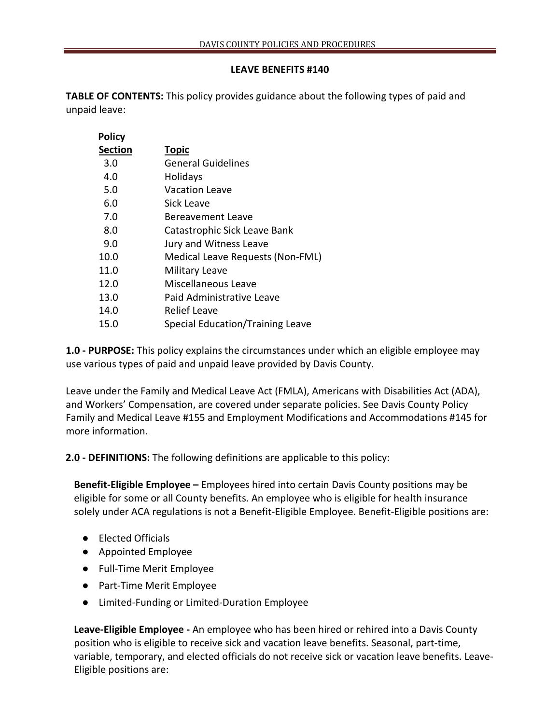## **LEAVE BENEFITS #140**

**TABLE OF CONTENTS:** This policy provides guidance about the following types of paid and unpaid leave:

| <b>Policy</b>  |                                  |
|----------------|----------------------------------|
| <b>Section</b> | <b>Topic</b>                     |
| 3.0            | General Guidelines               |
| 4.0            | Holidays                         |
| 5.0            | <b>Vacation Leave</b>            |
| 6.0            | Sick Leave                       |
| 7.0            | Bereavement Leave                |
| 8.0            | Catastrophic Sick Leave Bank     |
| 9.0            | Jury and Witness Leave           |
| 10.0           | Medical Leave Requests (Non-FML) |
| 11.0           | <b>Military Leave</b>            |
| 12.0           | Miscellaneous Leave              |
| 13.0           | Paid Administrative Leave        |
| 14.0           | Relief Leave                     |
| 15.0           | Special Education/Training Leave |
|                |                                  |

**1.0 - PURPOSE:** This policy explains the circumstances under which an eligible employee may use various types of paid and unpaid leave provided by Davis County.

Leave under the Family and Medical Leave Act (FMLA), Americans with Disabilities Act (ADA), and Workers' Compensation, are covered under separate policies. See Davis County Policy Family and Medical Leave #155 and Employment Modifications and Accommodations #145 for more information.

**2.0 - DEFINITIONS:** The following definitions are applicable to this policy:

**Benefit-Eligible Employee –** Employees hired into certain Davis County positions may be eligible for some or all County benefits. An employee who is eligible for health insurance solely under ACA regulations is not a Benefit-Eligible Employee. Benefit-Eligible positions are:

- Elected Officials
- Appointed Employee
- Full-Time Merit Employee
- Part-Time Merit Employee
- Limited-Funding or Limited-Duration Employee

**Leave-Eligible Employee -** An employee who has been hired or rehired into a Davis County position who is eligible to receive sick and vacation leave benefits. Seasonal, part-time, variable, temporary, and elected officials do not receive sick or vacation leave benefits. Leave-Eligible positions are: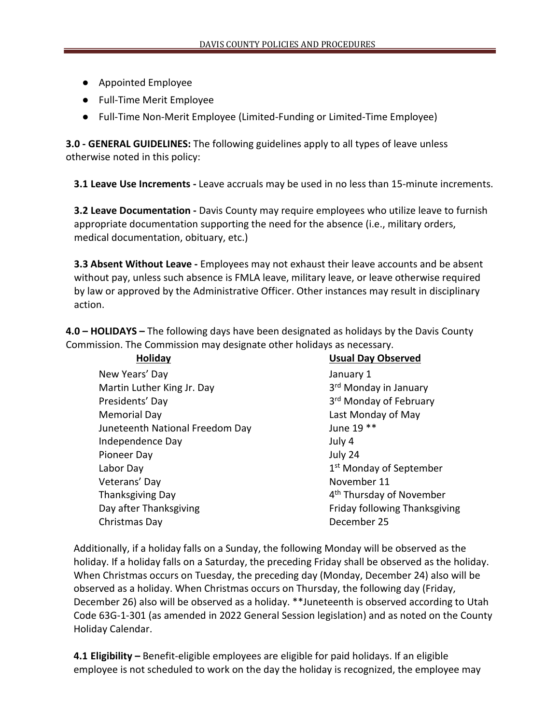- Appointed Employee
- Full-Time Merit Employee
- Full-Time Non-Merit Employee (Limited-Funding or Limited-Time Employee)

**3.0 - GENERAL GUIDELINES:** The following guidelines apply to all types of leave unless otherwise noted in this policy:

**3.1 Leave Use Increments -** Leave accruals may be used in no less than 15-minute increments.

**3.2 Leave Documentation** - Davis County may require employees who utilize leave to furnish appropriate documentation supporting the need for the absence (i.e., military orders, medical documentation, obituary, etc.)

**3.3 Absent Without Leave -** Employees may not exhaust their leave accounts and be absent without pay, unless such absence is FMLA leave, military leave, or leave otherwise required by law or approved by the Administrative Officer. Other instances may result in disciplinary action.

**4.0 – HOLIDAYS –** The following days have been designated as holidays by the Davis County Commission. The Commission may designate other holidays as necessary.

| <b>Usual Day Observed</b>            |
|--------------------------------------|
| January 1                            |
| 3 <sup>rd</sup> Monday in January    |
| 3rd Monday of February               |
| Last Monday of May                   |
| June 19 **                           |
| July 4                               |
| July 24                              |
| 1 <sup>st</sup> Monday of September  |
| November 11                          |
| 4 <sup>th</sup> Thursday of November |
| <b>Friday following Thanksgiving</b> |
| December 25                          |
|                                      |

Additionally, if a holiday falls on a Sunday, the following Monday will be observed as the holiday. If a holiday falls on a Saturday, the preceding Friday shall be observed as the holiday. When Christmas occurs on Tuesday, the preceding day (Monday, December 24) also will be observed as a holiday. When Christmas occurs on Thursday, the following day (Friday, December 26) also will be observed as a holiday. \*\*Juneteenth is observed according to Utah Code 63G-1-301 (as amended in 2022 General Session legislation) and as noted on the County Holiday Calendar.

**4.1 Eligibility –** Benefit-eligible employees are eligible for paid holidays. If an eligible employee is not scheduled to work on the day the holiday is recognized, the employee may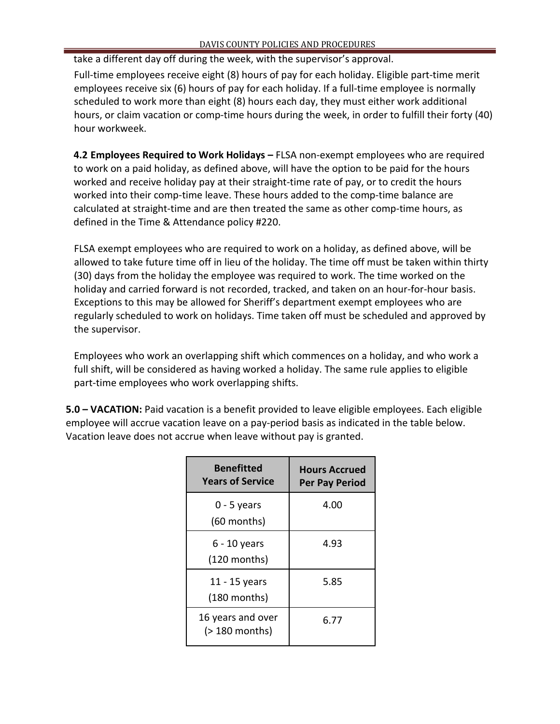take a different day off during the week, with the supervisor's approval.

Full-time employees receive eight (8) hours of pay for each holiday. Eligible part-time merit employees receive six (6) hours of pay for each holiday. If a full-time employee is normally scheduled to work more than eight (8) hours each day, they must either work additional hours, or claim vacation or comp-time hours during the week, in order to fulfill their forty (40) hour workweek.

**4.2 Employees Required to Work Holidays –** FLSA non-exempt employees who are required to work on a paid holiday, as defined above, will have the option to be paid for the hours worked and receive holiday pay at their straight-time rate of pay, or to credit the hours worked into their comp-time leave. These hours added to the comp-time balance are calculated at straight-time and are then treated the same as other comp-time hours, as defined in the Time & Attendance policy #220.

FLSA exempt employees who are required to work on a holiday, as defined above, will be allowed to take future time off in lieu of the holiday. The time off must be taken within thirty (30) days from the holiday the employee was required to work. The time worked on the holiday and carried forward is not recorded, tracked, and taken on an hour-for-hour basis. Exceptions to this may be allowed for Sheriff's department exempt employees who are regularly scheduled to work on holidays. Time taken off must be scheduled and approved by the supervisor.

Employees who work an overlapping shift which commences on a holiday, and who work a full shift, will be considered as having worked a holiday. The same rule applies to eligible part-time employees who work overlapping shifts.

**5.0 – VACATION:** Paid vacation is a benefit provided to leave eligible employees. Each eligible employee will accrue vacation leave on a pay-period basis as indicated in the table below. Vacation leave does not accrue when leave without pay is granted.

| <b>Benefitted</b><br><b>Years of Service</b> | <b>Hours Accrued</b><br><b>Per Pay Period</b> |
|----------------------------------------------|-----------------------------------------------|
| 0 - 5 years<br>$(60$ months)                 | 4.00                                          |
| $6 - 10$ years<br>$(120$ months)             | 4.93                                          |
| 11 - 15 years<br>$(180$ months)              | 5.85                                          |
| 16 years and over<br>(> 180 months)          | 6.77                                          |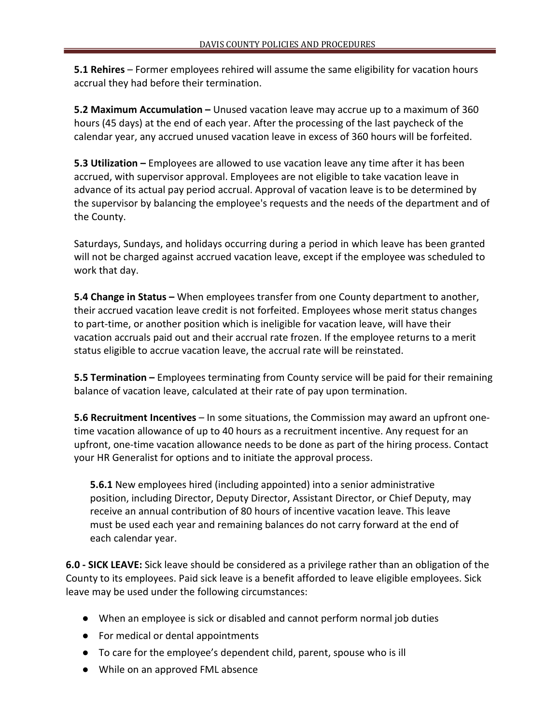**5.1 Rehires** – Former employees rehired will assume the same eligibility for vacation hours accrual they had before their termination.

**5.2 Maximum Accumulation –** Unused vacation leave may accrue up to a maximum of 360 hours (45 days) at the end of each year. After the processing of the last paycheck of the calendar year, any accrued unused vacation leave in excess of 360 hours will be forfeited.

**5.3 Utilization –** Employees are allowed to use vacation leave any time after it has been accrued, with supervisor approval. Employees are not eligible to take vacation leave in advance of its actual pay period accrual. Approval of vacation leave is to be determined by the supervisor by balancing the employee's requests and the needs of the department and of the County.

Saturdays, Sundays, and holidays occurring during a period in which leave has been granted will not be charged against accrued vacation leave, except if the employee was scheduled to work that day.

**5.4 Change in Status –** When employees transfer from one County department to another, their accrued vacation leave credit is not forfeited. Employees whose merit status changes to part-time, or another position which is ineligible for vacation leave, will have their vacation accruals paid out and their accrual rate frozen. If the employee returns to a merit status eligible to accrue vacation leave, the accrual rate will be reinstated.

**5.5 Termination –** Employees terminating from County service will be paid for their remaining balance of vacation leave, calculated at their rate of pay upon termination.

**5.6 Recruitment Incentives** – In some situations, the Commission may award an upfront onetime vacation allowance of up to 40 hours as a recruitment incentive. Any request for an upfront, one-time vacation allowance needs to be done as part of the hiring process. Contact your HR Generalist for options and to initiate the approval process.

**5.6.1** New employees hired (including appointed) into a senior administrative position, including Director, Deputy Director, Assistant Director, or Chief Deputy, may receive an annual contribution of 80 hours of incentive vacation leave. This leave must be used each year and remaining balances do not carry forward at the end of each calendar year.

**6.0 - SICK LEAVE:** Sick leave should be considered as a privilege rather than an obligation of the County to its employees. Paid sick leave is a benefit afforded to leave eligible employees. Sick leave may be used under the following circumstances:

- When an employee is sick or disabled and cannot perform normal job duties
- For medical or dental appointments
- To care for the employee's dependent child, parent, spouse who is ill
- While on an approved FML absence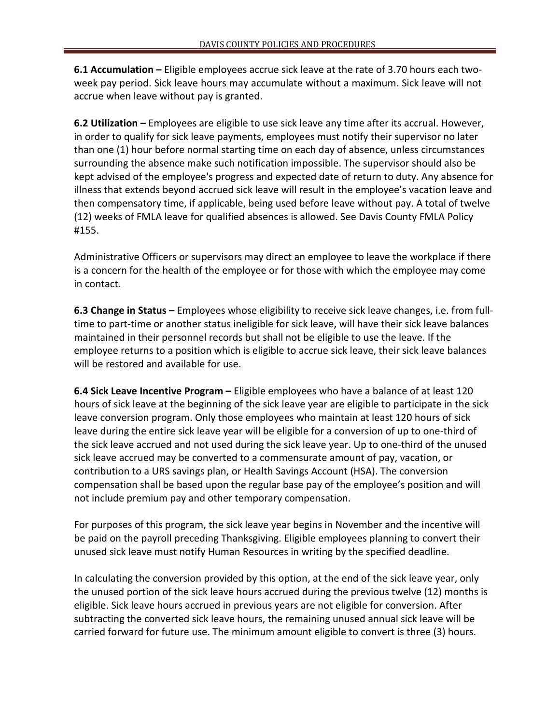**6.1 Accumulation –** Eligible employees accrue sick leave at the rate of 3.70 hours each twoweek pay period. Sick leave hours may accumulate without a maximum. Sick leave will not accrue when leave without pay is granted.

**6.2 Utilization –** Employees are eligible to use sick leave any time after its accrual. However, in order to qualify for sick leave payments, employees must notify their supervisor no later than one (1) hour before normal starting time on each day of absence, unless circumstances surrounding the absence make such notification impossible. The supervisor should also be kept advised of the employee's progress and expected date of return to duty. Any absence for illness that extends beyond accrued sick leave will result in the employee's vacation leave and then compensatory time, if applicable, being used before leave without pay. A total of twelve (12) weeks of FMLA leave for qualified absences is allowed. See Davis County FMLA Policy #155.

Administrative Officers or supervisors may direct an employee to leave the workplace if there is a concern for the health of the employee or for those with which the employee may come in contact.

**6.3 Change in Status –** Employees whose eligibility to receive sick leave changes, i.e. from fulltime to part-time or another status ineligible for sick leave, will have their sick leave balances maintained in their personnel records but shall not be eligible to use the leave. If the employee returns to a position which is eligible to accrue sick leave, their sick leave balances will be restored and available for use.

**6.4 Sick Leave Incentive Program –** Eligible employees who have a balance of at least 120 hours of sick leave at the beginning of the sick leave year are eligible to participate in the sick leave conversion program. Only those employees who maintain at least 120 hours of sick leave during the entire sick leave year will be eligible for a conversion of up to one-third of the sick leave accrued and not used during the sick leave year. Up to one-third of the unused sick leave accrued may be converted to a commensurate amount of pay, vacation, or contribution to a URS savings plan, or Health Savings Account (HSA). The conversion compensation shall be based upon the regular base pay of the employee's position and will not include premium pay and other temporary compensation.

For purposes of this program, the sick leave year begins in November and the incentive will be paid on the payroll preceding Thanksgiving. Eligible employees planning to convert their unused sick leave must notify Human Resources in writing by the specified deadline.

In calculating the conversion provided by this option, at the end of the sick leave year, only the unused portion of the sick leave hours accrued during the previous twelve (12) months is eligible. Sick leave hours accrued in previous years are not eligible for conversion. After subtracting the converted sick leave hours, the remaining unused annual sick leave will be carried forward for future use. The minimum amount eligible to convert is three (3) hours.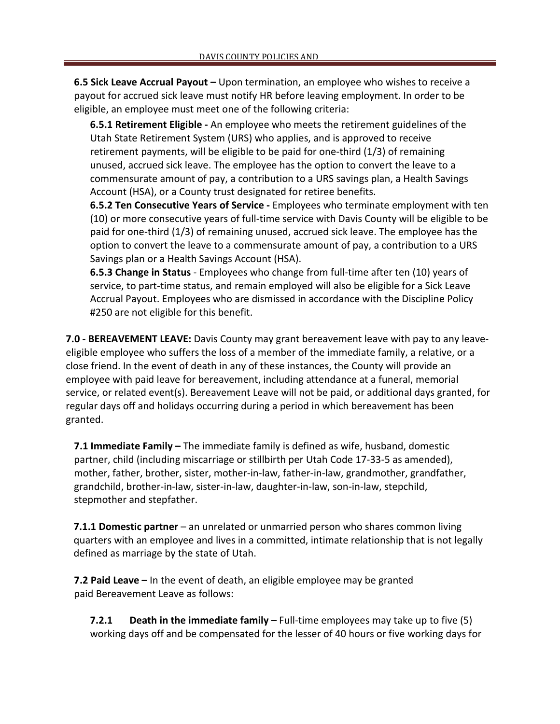**6.5 Sick Leave Accrual Payout –** Upon termination, an employee who wishes to receive a payout for accrued sick leave must notify HR before leaving employment. In order to be eligible, an employee must meet one of the following criteria:

**6.5.1 Retirement Eligible -** An employee who meets the retirement guidelines of the Utah State Retirement System (URS) who applies, and is approved to receive retirement payments, will be eligible to be paid for one-third (1/3) of remaining unused, accrued sick leave. The employee has the option to convert the leave to a commensurate amount of pay, a contribution to a URS savings plan, a Health Savings Account (HSA), or a County trust designated for retiree benefits.

**6.5.2 Ten Consecutive Years of Service -** Employees who terminate employment with ten (10) or more consecutive years of full-time service with Davis County will be eligible to be paid for one-third (1/3) of remaining unused, accrued sick leave. The employee has the option to convert the leave to a commensurate amount of pay, a contribution to a URS Savings plan or a Health Savings Account (HSA).

**6.5.3 Change in Status** - Employees who change from full-time after ten (10) years of service, to part-time status, and remain employed will also be eligible for a Sick Leave Accrual Payout. Employees who are dismissed in accordance with the Discipline Policy #250 are not eligible for this benefit.

**7.0 - BEREAVEMENT LEAVE:** Davis County may grant bereavement leave with pay to any leaveeligible employee who suffers the loss of a member of the immediate family, a relative, or a close friend. In the event of death in any of these instances, the County will provide an employee with paid leave for bereavement, including attendance at a funeral, memorial service, or related event(s). Bereavement Leave will not be paid, or additional days granted, for regular days off and holidays occurring during a period in which bereavement has been granted.

**7.1 Immediate Family –** The immediate family is defined as wife, husband, domestic partner, child (including miscarriage or stillbirth per Utah Code 17-33-5 as amended), mother, father, brother, sister, mother-in-law, father-in-law, grandmother, grandfather, grandchild, brother-in-law, sister-in-law, daughter-in-law, son-in-law, stepchild, stepmother and stepfather.

**7.1.1 Domestic partner** – an unrelated or unmarried person who shares common living quarters with an employee and lives in a committed, intimate relationship that is not legally defined as marriage by the state of Utah.

**7.2 Paid Leave –** In the event of death, an eligible employee may be granted paid Bereavement Leave as follows:

**7.2.1 Death in the immediate family** – Full-time employees may take up to five (5) working days off and be compensated for the lesser of 40 hours or five working days for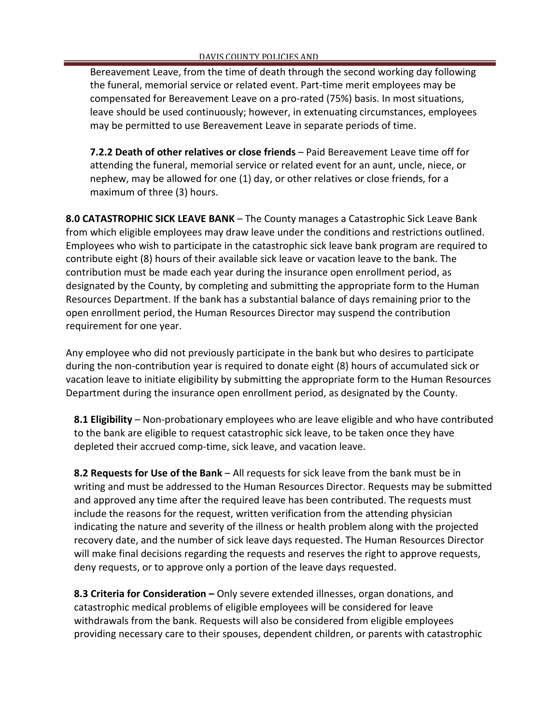Bereavement Leave, from the time of death through the second working day following the funeral, memorial service or related event. Part-time merit employees may be compensated for Bereavement Leave on a pro-rated (75%) basis. In most situations, leave should be used continuously; however, in extenuating circumstances, employees may be permitted to use Bereavement Leave in separate periods of time.

**7.2.2 Death of other relatives or close friends** – Paid Bereavement Leave time off for attending the funeral, memorial service or related event for an aunt, uncle, niece, or nephew, may be allowed for one (1) day, or other relatives or close friends, for a maximum of three (3) hours.

**8.0 CATASTROPHIC SICK LEAVE BANK** – The County manages a Catastrophic Sick Leave Bank from which eligible employees may draw leave under the conditions and restrictions outlined. Employees who wish to participate in the catastrophic sick leave bank program are required to contribute eight (8) hours of their available sick leave or vacation leave to the bank. The contribution must be made each year during the insurance open enrollment period, as designated by the County, by completing and submitting the appropriate form to the Human Resources Department. If the bank has a substantial balance of days remaining prior to the open enrollment period, the Human Resources Director may suspend the contribution requirement for one year.

Any employee who did not previously participate in the bank but who desires to participate during the non-contribution year is required to donate eight (8) hours of accumulated sick or vacation leave to initiate eligibility by submitting the appropriate form to the Human Resources Department during the insurance open enrollment period, as designated by the County.

**8.1 Eligibility** – Non-probationary employees who are leave eligible and who have contributed to the bank are eligible to request catastrophic sick leave, to be taken once they have depleted their accrued comp-time, sick leave, and vacation leave.

**8.2 Requests for Use of the Bank** – All requests for sick leave from the bank must be in writing and must be addressed to the Human Resources Director. Requests may be submitted and approved any time after the required leave has been contributed. The requests must include the reasons for the request, written verification from the attending physician indicating the nature and severity of the illness or health problem along with the projected recovery date, and the number of sick leave days requested. The Human Resources Director will make final decisions regarding the requests and reserves the right to approve requests, deny requests, or to approve only a portion of the leave days requested.

**8.3 Criteria for Consideration –** Only severe extended illnesses, organ donations, and catastrophic medical problems of eligible employees will be considered for leave withdrawals from the bank. Requests will also be considered from eligible employees providing necessary care to their spouses, dependent children, or parents with catastrophic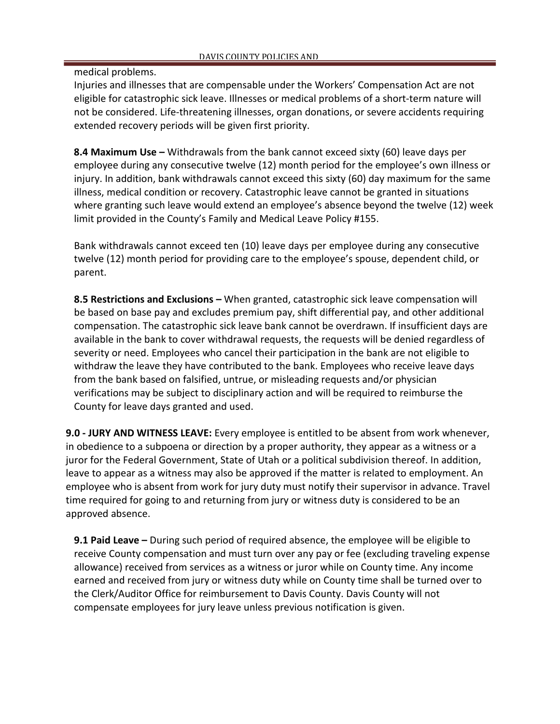medical problems.

Injuries and illnesses that are compensable under the Workers' Compensation Act are not eligible for catastrophic sick leave. Illnesses or medical problems of a short-term nature will not be considered. Life-threatening illnesses, organ donations, or severe accidents requiring extended recovery periods will be given first priority.

**8.4 Maximum Use –** Withdrawals from the bank cannot exceed sixty (60) leave days per employee during any consecutive twelve (12) month period for the employee's own illness or injury. In addition, bank withdrawals cannot exceed this sixty (60) day maximum for the same illness, medical condition or recovery. Catastrophic leave cannot be granted in situations where granting such leave would extend an employee's absence beyond the twelve (12) week limit provided in the County's Family and Medical Leave Policy #155.

Bank withdrawals cannot exceed ten (10) leave days per employee during any consecutive twelve (12) month period for providing care to the employee's spouse, dependent child, or parent.

**8.5 Restrictions and Exclusions –** When granted, catastrophic sick leave compensation will be based on base pay and excludes premium pay, shift differential pay, and other additional compensation. The catastrophic sick leave bank cannot be overdrawn. If insufficient days are available in the bank to cover withdrawal requests, the requests will be denied regardless of severity or need. Employees who cancel their participation in the bank are not eligible to withdraw the leave they have contributed to the bank. Employees who receive leave days from the bank based on falsified, untrue, or misleading requests and/or physician verifications may be subject to disciplinary action and will be required to reimburse the County for leave days granted and used.

**9.0 - JURY AND WITNESS LEAVE:** Every employee is entitled to be absent from work whenever, in obedience to a subpoena or direction by a proper authority, they appear as a witness or a juror for the Federal Government, State of Utah or a political subdivision thereof. In addition, leave to appear as a witness may also be approved if the matter is related to employment. An employee who is absent from work for jury duty must notify their supervisor in advance. Travel time required for going to and returning from jury or witness duty is considered to be an approved absence.

**9.1 Paid Leave –** During such period of required absence, the employee will be eligible to receive County compensation and must turn over any pay or fee (excluding traveling expense allowance) received from services as a witness or juror while on County time. Any income earned and received from jury or witness duty while on County time shall be turned over to the Clerk/Auditor Office for reimbursement to Davis County. Davis County will not compensate employees for jury leave unless previous notification is given.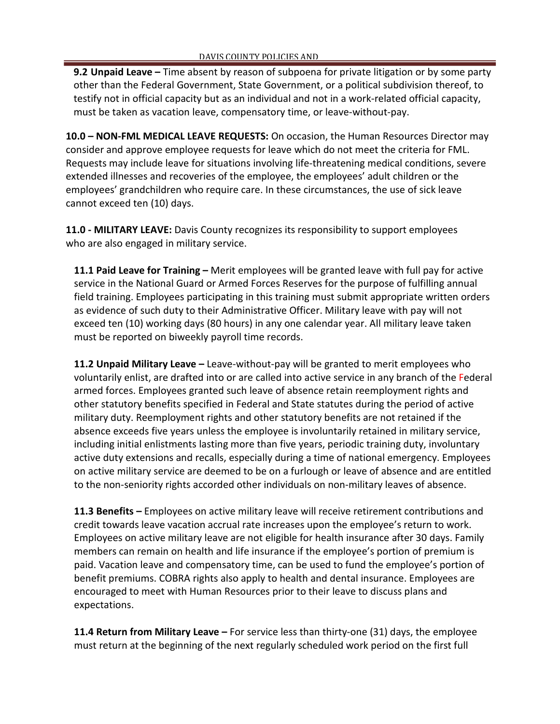**9.2 Unpaid Leave –** Time absent by reason of subpoena for private litigation or by some party other than the Federal Government, State Government, or a political subdivision thereof, to testify not in official capacity but as an individual and not in a work-related official capacity, must be taken as vacation leave, compensatory time, or leave-without-pay.

**10.0 – NON-FML MEDICAL LEAVE REQUESTS:** On occasion, the Human Resources Director may consider and approve employee requests for leave which do not meet the criteria for FML. Requests may include leave for situations involving life-threatening medical conditions, severe extended illnesses and recoveries of the employee, the employees' adult children or the employees' grandchildren who require care. In these circumstances, the use of sick leave cannot exceed ten (10) days.

**11.0 - MILITARY LEAVE:** Davis County recognizes its responsibility to support employees who are also engaged in military service.

**11.1 Paid Leave for Training –** Merit employees will be granted leave with full pay for active service in the National Guard or Armed Forces Reserves for the purpose of fulfilling annual field training. Employees participating in this training must submit appropriate written orders as evidence of such duty to their Administrative Officer. Military leave with pay will not exceed ten (10) working days (80 hours) in any one calendar year. All military leave taken must be reported on biweekly payroll time records.

**11.2 Unpaid Military Leave –** Leave-without-pay will be granted to merit employees who voluntarily enlist, are drafted into or are called into active service in any branch of the Federal armed forces. Employees granted such leave of absence retain reemployment rights and other statutory benefits specified in Federal and State statutes during the period of active military duty. Reemployment rights and other statutory benefits are not retained if the absence exceeds five years unless the employee is involuntarily retained in military service, including initial enlistments lasting more than five years, periodic training duty, involuntary active duty extensions and recalls, especially during a time of national emergency. Employees on active military service are deemed to be on a furlough or leave of absence and are entitled to the non-seniority rights accorded other individuals on non-military leaves of absence.

**11.3 Benefits –** Employees on active military leave will receive retirement contributions and credit towards leave vacation accrual rate increases upon the employee's return to work. Employees on active military leave are not eligible for health insurance after 30 days. Family members can remain on health and life insurance if the employee's portion of premium is paid. Vacation leave and compensatory time, can be used to fund the employee's portion of benefit premiums. COBRA rights also apply to health and dental insurance. Employees are encouraged to meet with Human Resources prior to their leave to discuss plans and expectations.

**11.4 Return from Military Leave –** For service less than thirty-one (31) days, the employee must return at the beginning of the next regularly scheduled work period on the first full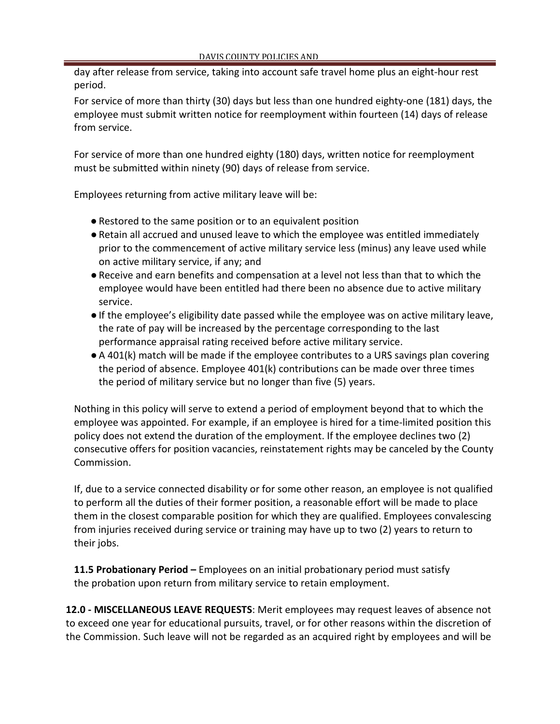day after release from service, taking into account safe travel home plus an eight-hour rest period.

For service of more than thirty (30) days but less than one hundred eighty-one (181) days, the employee must submit written notice for reemployment within fourteen (14) days of release from service.

For service of more than one hundred eighty (180) days, written notice for reemployment must be submitted within ninety (90) days of release from service.

Employees returning from active military leave will be:

- Restored to the same position or to an equivalent position
- ●Retain all accrued and unused leave to which the employee was entitled immediately prior to the commencement of active military service less (minus) any leave used while on active military service, if any; and
- ●Receive and earn benefits and compensation at a level not less than that to which the employee would have been entitled had there been no absence due to active military service.
- ●If the employee's eligibility date passed while the employee was on active military leave, the rate of pay will be increased by the percentage corresponding to the last performance appraisal rating received before active military service.
- A 401(k) match will be made if the employee contributes to a URS savings plan covering the period of absence. Employee 401(k) contributions can be made over three times the period of military service but no longer than five (5) years.

Nothing in this policy will serve to extend a period of employment beyond that to which the employee was appointed. For example, if an employee is hired for a time-limited position this policy does not extend the duration of the employment. If the employee declines two (2) consecutive offers for position vacancies, reinstatement rights may be canceled by the County Commission.

If, due to a service connected disability or for some other reason, an employee is not qualified to perform all the duties of their former position, a reasonable effort will be made to place them in the closest comparable position for which they are qualified. Employees convalescing from injuries received during service or training may have up to two (2) years to return to their jobs.

**11.5 Probationary Period –** Employees on an initial probationary period must satisfy the probation upon return from military service to retain employment.

**12.0 - MISCELLANEOUS LEAVE REQUESTS**: Merit employees may request leaves of absence not to exceed one year for educational pursuits, travel, or for other reasons within the discretion of the Commission. Such leave will not be regarded as an acquired right by employees and will be